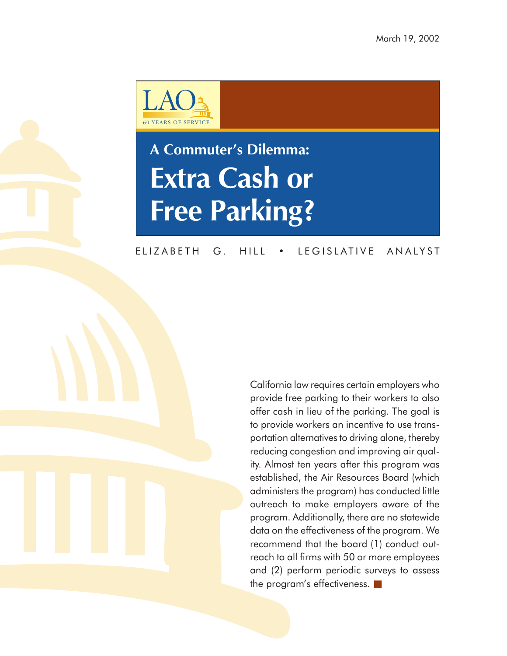

# **A Commuter's Dilemma: Extra Cash or Free Parking?**

### ELIZABETH G. HILL • LEGISLATIVE ANALYST

California law requires certain employers who provide free parking to their workers to also offer cash in lieu of the parking. The goal is to provide workers an incentive to use transportation alternatives to driving alone, thereby reducing congestion and improving air quality. Almost ten years after this program was established, the Air Resources Board (which administers the program) has conducted little outreach to make employers aware of the program. Additionally, there are no statewide data on the effectiveness of the program. We recommend that the board (1) conduct outreach to all firms with 50 or more employees and (2) perform periodic surveys to assess the program's effectiveness. ■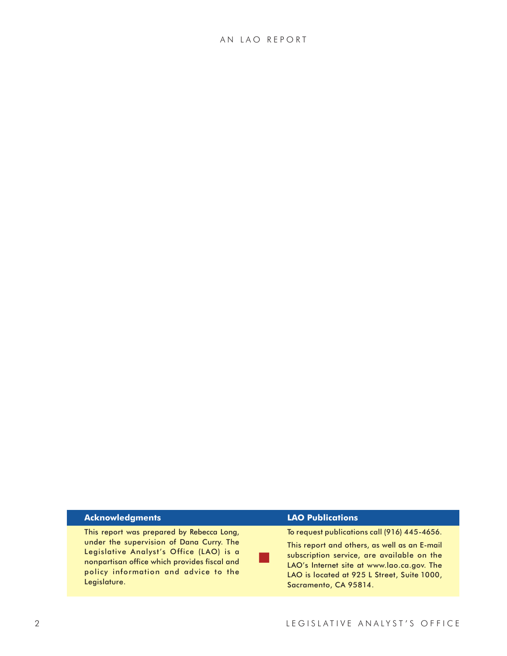#### **Acknowledgments**

This report was prepared by Rebecca Long, under the supervision of Dana Curry. The Legislative Analyst's Office (LAO) is a nonpartisan office which provides fiscal and policy information and advice to the Legislature.

#### **LAO Publications**

■

To request publications call (916) 445-4656.

This report and others, as well as an E-mail subscription service, are available on the LAO's Internet site at www.lao.ca.gov. The LAO is located at 925 L Street, Suite 1000, Sacramento, CA 95814.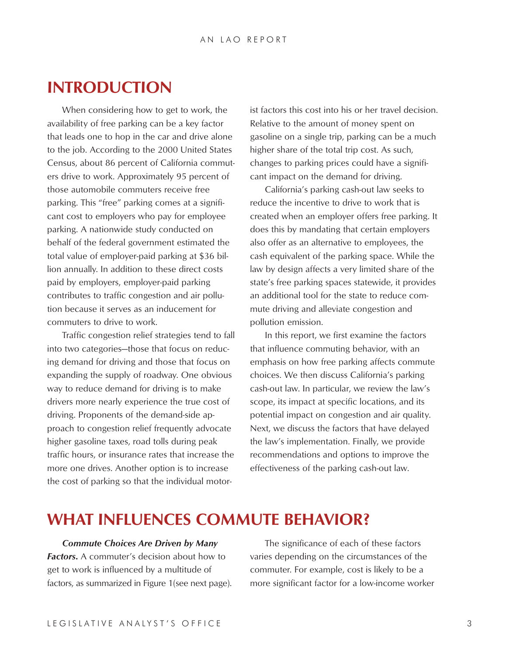### **INTRODUCTION**

When considering how to get to work, the availability of free parking can be a key factor that leads one to hop in the car and drive alone to the job. According to the 2000 United States Census, about 86 percent of California commuters drive to work. Approximately 95 percent of those automobile commuters receive free parking. This "free" parking comes at a significant cost to employers who pay for employee parking. A nationwide study conducted on behalf of the federal government estimated the total value of employer-paid parking at \$36 billion annually. In addition to these direct costs paid by employers, employer-paid parking contributes to traffic congestion and air pollution because it serves as an inducement for commuters to drive to work.

Traffic congestion relief strategies tend to fall into two categories—those that focus on reducing demand for driving and those that focus on expanding the supply of roadway. One obvious way to reduce demand for driving is to make drivers more nearly experience the true cost of driving. Proponents of the demand-side approach to congestion relief frequently advocate higher gasoline taxes, road tolls during peak traffic hours, or insurance rates that increase the more one drives. Another option is to increase the cost of parking so that the individual motorist factors this cost into his or her travel decision. Relative to the amount of money spent on gasoline on a single trip, parking can be a much higher share of the total trip cost. As such, changes to parking prices could have a significant impact on the demand for driving.

California's parking cash-out law seeks to reduce the incentive to drive to work that is created when an employer offers free parking. It does this by mandating that certain employers also offer as an alternative to employees, the cash equivalent of the parking space. While the law by design affects a very limited share of the state's free parking spaces statewide, it provides an additional tool for the state to reduce commute driving and alleviate congestion and pollution emission.

In this report, we first examine the factors that influence commuting behavior, with an emphasis on how free parking affects commute choices. We then discuss California's parking cash-out law. In particular, we review the law's scope, its impact at specific locations, and its potential impact on congestion and air quality. Next, we discuss the factors that have delayed the law's implementation. Finally, we provide recommendations and options to improve the effectiveness of the parking cash-out law.

### **WHAT INFLUENCES COMMUTE BEHAVIOR?**

*Commute Choices Are Driven by Many Factors***.** A commuter's decision about how to get to work is influenced by a multitude of factors, as summarized in Figure 1(see next page).

The significance of each of these factors varies depending on the circumstances of the commuter. For example, cost is likely to be a more significant factor for a low-income worker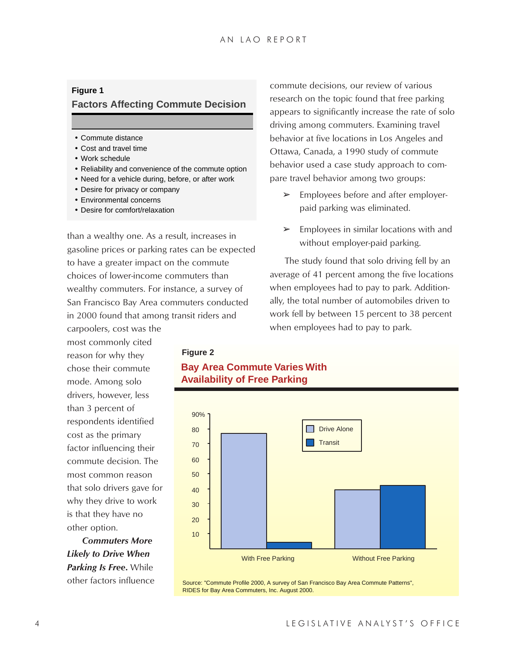#### **Figure 1**

#### **Factors Affecting Commute Decision**

- Commute distance
- Cost and travel time
- Work schedule
- Reliability and convenience of the commute option
- Need for a vehicle during, before, or after work
- Desire for privacy or company
- Environmental concerns
- Desire for comfort/relaxation

than a wealthy one. As a result, increases in gasoline prices or parking rates can be expected to have a greater impact on the commute choices of lower-income commuters than wealthy commuters. For instance, a survey of San Francisco Bay Area commuters conducted in 2000 found that among transit riders and carpoolers, cost was the

commute decisions, our review of various research on the topic found that free parking appears to significantly increase the rate of solo driving among commuters. Examining travel behavior at five locations in Los Angeles and Ottawa, Canada, a 1990 study of commute behavior used a case study approach to compare travel behavior among two groups:

- $\triangleright$  Employees before and after employerpaid parking was eliminated.
- $\triangleright$  Employees in similar locations with and without employer-paid parking.

The study found that solo driving fell by an average of 41 percent among the five locations when employees had to pay to park. Additionally, the total number of automobiles driven to work fell by between 15 percent to 38 percent when employees had to pay to park.

most commonly cited reason for why they chose their commute mode. Among solo drivers, however, less than 3 percent of respondents identified cost as the primary factor influencing their commute decision. The most common reason that solo drivers gave for why they drive to work is that they have no other option.

*Commuters More Likely to Drive When Parking Is Free***.** While other factors influence

#### **Figure 2**

### **Bay Area Commute Varies With Availability of Free Parking**



Source: "Commute Profile 2000, A survey of San Francisco Bay Area Commute Patterns", RIDES for Bay Area Commuters, Inc. August 2000.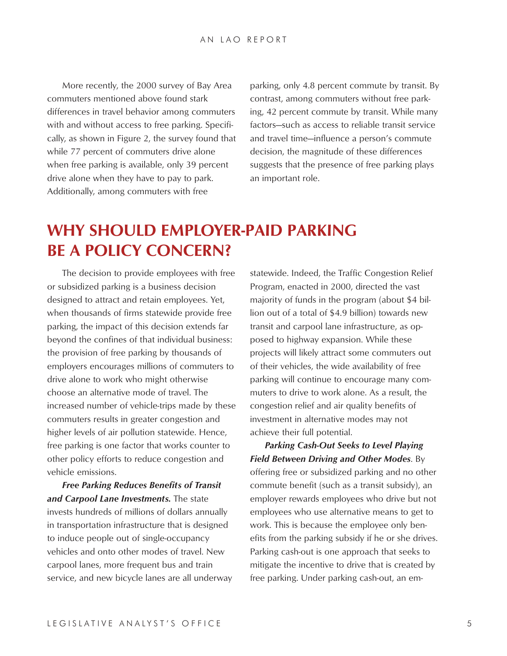More recently, the 2000 survey of Bay Area commuters mentioned above found stark differences in travel behavior among commuters with and without access to free parking. Specifically, as shown in Figure 2, the survey found that while 77 percent of commuters drive alone when free parking is available, only 39 percent drive alone when they have to pay to park. Additionally, among commuters with free

parking, only 4.8 percent commute by transit. By contrast, among commuters without free parking, 42 percent commute by transit. While many factors—such as access to reliable transit service and travel time—influence a person's commute decision, the magnitude of these differences suggests that the presence of free parking plays an important role.

# **WHY SHOULD EMPLOYER-PAID PARKING BE A POLICY CONCERN?**

The decision to provide employees with free or subsidized parking is a business decision designed to attract and retain employees. Yet, when thousands of firms statewide provide free parking, the impact of this decision extends far beyond the confines of that individual business: the provision of free parking by thousands of employers encourages millions of commuters to drive alone to work who might otherwise choose an alternative mode of travel. The increased number of vehicle-trips made by these commuters results in greater congestion and higher levels of air pollution statewide. Hence, free parking is one factor that works counter to other policy efforts to reduce congestion and vehicle emissions.

*Free Parking Reduces Benefits of Transit and Carpool Lane Investments.* The state invests hundreds of millions of dollars annually in transportation infrastructure that is designed to induce people out of single-occupancy vehicles and onto other modes of travel. New carpool lanes, more frequent bus and train service, and new bicycle lanes are all underway statewide. Indeed, the Traffic Congestion Relief Program, enacted in 2000, directed the vast majority of funds in the program (about \$4 billion out of a total of \$4.9 billion) towards new transit and carpool lane infrastructure, as opposed to highway expansion. While these projects will likely attract some commuters out of their vehicles, the wide availability of free parking will continue to encourage many commuters to drive to work alone. As a result, the congestion relief and air quality benefits of investment in alternative modes may not achieve their full potential.

*Parking Cash-Out Seeks to Level Playing Field Between Driving and Other Modes*. By offering free or subsidized parking and no other commute benefit (such as a transit subsidy), an employer rewards employees who drive but not employees who use alternative means to get to work. This is because the employee only benefits from the parking subsidy if he or she drives. Parking cash-out is one approach that seeks to mitigate the incentive to drive that is created by free parking. Under parking cash-out, an em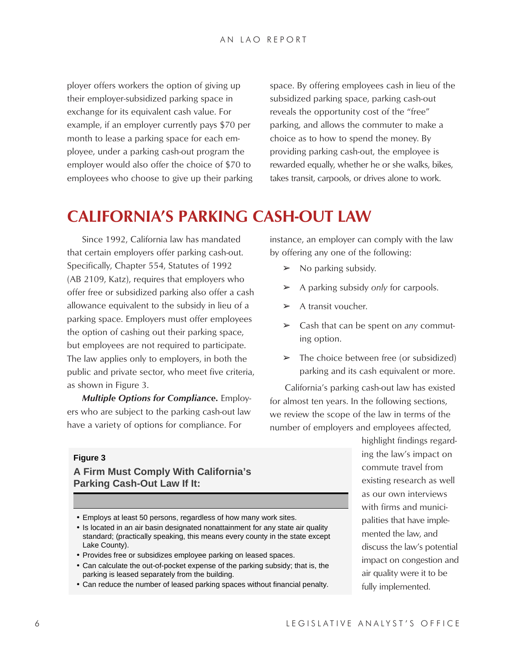ployer offers workers the option of giving up their employer-subsidized parking space in exchange for its equivalent cash value. For example, if an employer currently pays \$70 per month to lease a parking space for each employee, under a parking cash-out program the employer would also offer the choice of \$70 to employees who choose to give up their parking space. By offering employees cash in lieu of the subsidized parking space, parking cash-out reveals the opportunity cost of the "free" parking, and allows the commuter to make a choice as to how to spend the money. By providing parking cash-out, the employee is rewarded equally, whether he or she walks, bikes, takes transit, carpools, or drives alone to work.

# **CALIFORNIA'S PARKING CASH-OUT LAW**

Since 1992, California law has mandated that certain employers offer parking cash-out. Specifically, Chapter 554, Statutes of 1992 (AB 2109, Katz), requires that employers who offer free or subsidized parking also offer a cash allowance equivalent to the subsidy in lieu of a parking space. Employers must offer employees the option of cashing out their parking space, but employees are not required to participate. The law applies only to employers, in both the public and private sector, who meet five criteria, as shown in Figure 3.

*Multiple Options for Compliance***.** Employers who are subject to the parking cash-out law have a variety of options for compliance. For

instance, an employer can comply with the law by offering any one of the following:

- $\triangleright$  No parking subsidy.
- ➢ A parking subsidy *only* for carpools.
- $\triangleright$  A transit voucher.
- ➢ Cash that can be spent on *any* commuting option.
- $\triangleright$  The choice between free (or subsidized) parking and its cash equivalent or more.

California's parking cash-out law has existed for almost ten years. In the following sections, we review the scope of the law in terms of the number of employers and employees affected,

#### **Figure 3**

#### **A Firm Must Comply With California's Parking Cash-Out Law If It:**

- Employs at least 50 persons, regardless of how many work sites.
- Is located in an air basin designated nonattainment for any state air quality standard; (practically speaking, this means every county in the state except Lake County).
- Provides free or subsidizes employee parking on leased spaces.
- Can calculate the out-of-pocket expense of the parking subsidy; that is, the parking is leased separately from the building.
- Can reduce the number of leased parking spaces without financial penalty.

highlight findings regarding the law's impact on commute travel from existing research as well as our own interviews with firms and municipalities that have implemented the law, and discuss the law's potential impact on congestion and air quality were it to be fully implemented.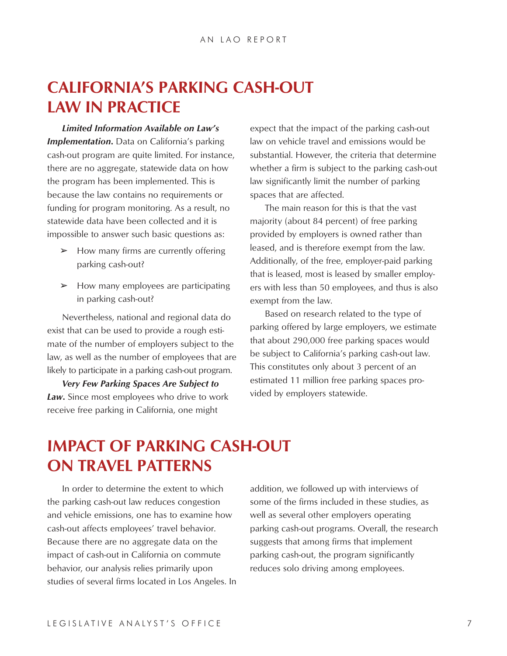# **CALIFORNIA'S PARKING CASH-OUT LAW IN PRACTICE**

*Limited Information Available on Law's* **Implementation.** Data on California's parking cash-out program are quite limited. For instance, there are no aggregate, statewide data on how the program has been implemented. This is because the law contains no requirements or funding for program monitoring. As a result, no statewide data have been collected and it is impossible to answer such basic questions as:

- $\triangleright$  How many firms are currently offering parking cash-out?
- $\blacktriangleright$  How many employees are participating in parking cash-out?

Nevertheless, national and regional data do exist that can be used to provide a rough estimate of the number of employers subject to the law, as well as the number of employees that are likely to participate in a parking cash-out program.

*Very Few Parking Spaces Are Subject to Law***.** Since most employees who drive to work receive free parking in California, one might

expect that the impact of the parking cash-out law on vehicle travel and emissions would be substantial. However, the criteria that determine whether a firm is subject to the parking cash-out law significantly limit the number of parking spaces that are affected.

The main reason for this is that the vast majority (about 84 percent) of free parking provided by employers is owned rather than leased, and is therefore exempt from the law. Additionally, of the free, employer-paid parking that is leased, most is leased by smaller employers with less than 50 employees, and thus is also exempt from the law.

Based on research related to the type of parking offered by large employers, we estimate that about 290,000 free parking spaces would be subject to California's parking cash-out law. This constitutes only about 3 percent of an estimated 11 million free parking spaces provided by employers statewide.

# **IMPACT OF PARKING CASH-OUT ON TRAVEL PATTERNS**

In order to determine the extent to which the parking cash-out law reduces congestion and vehicle emissions, one has to examine how cash-out affects employees' travel behavior. Because there are no aggregate data on the impact of cash-out in California on commute behavior, our analysis relies primarily upon studies of several firms located in Los Angeles. In addition, we followed up with interviews of some of the firms included in these studies, as well as several other employers operating parking cash-out programs. Overall, the research suggests that among firms that implement parking cash-out, the program significantly reduces solo driving among employees.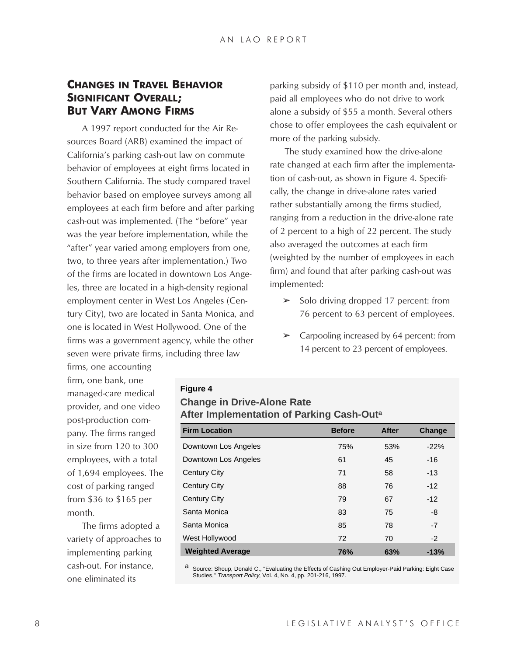### **CHANGES IN TRAVEL BEHAVIOR SIGNIFICANT OVERALL; BUT VARY AMONG FIRMS**

A 1997 report conducted for the Air Resources Board (ARB) examined the impact of California's parking cash-out law on commute behavior of employees at eight firms located in Southern California. The study compared travel behavior based on employee surveys among all employees at each firm before and after parking cash-out was implemented. (The "before" year was the year before implementation, while the "after" year varied among employers from one, two, to three years after implementation.) Two of the firms are located in downtown Los Angeles, three are located in a high-density regional employment center in West Los Angeles (Century City), two are located in Santa Monica, and one is located in West Hollywood. One of the firms was a government agency, while the other seven were private firms, including three law

parking subsidy of \$110 per month and, instead, paid all employees who do not drive to work alone a subsidy of \$55 a month. Several others chose to offer employees the cash equivalent or more of the parking subsidy.

The study examined how the drive-alone rate changed at each firm after the implementation of cash-out, as shown in Figure 4. Specifically, the change in drive-alone rates varied rather substantially among the firms studied, ranging from a reduction in the drive-alone rate of 2 percent to a high of 22 percent. The study also averaged the outcomes at each firm (weighted by the number of employees in each firm) and found that after parking cash-out was implemented:

- $\geq$  Solo driving dropped 17 percent: from 76 percent to 63 percent of employees.
- $\geq$  Carpooling increased by 64 percent: from 14 percent to 23 percent of employees.

firms, one accounting firm, one bank, one managed-care medical provider, and one video post-production company. The firms ranged in size from 120 to 300 employees, with a total of 1,694 employees. The cost of parking ranged from \$36 to \$165 per month.

The firms adopted a variety of approaches to implementing parking cash-out. For instance, one eliminated its

### **Figure 4 Change in Drive-Alone Rate After Implementation of Parking Cash-Outa**

| <b>Firm Location</b>    | <b>Before</b> | <b>After</b> | Change |
|-------------------------|---------------|--------------|--------|
| Downtown Los Angeles    | 75%           | 53%          | $-22%$ |
| Downtown Los Angeles    | 61            | 45           | $-16$  |
| <b>Century City</b>     | 71            | 58           | $-13$  |
| <b>Century City</b>     | 88            | 76           | $-12$  |
| <b>Century City</b>     | 79            | 67           | $-12$  |
| Santa Monica            | 83            | 75           | -8     |
| Santa Monica            | 85            | 78           | $-7$   |
| West Hollywood          | 72            | 70           | $-2$   |
| <b>Weighted Average</b> | 76%           | 63%          | $-13%$ |

a Source: Shoup, Donald C., "Evaluating the Effects of Cashing Out Employer-Paid Parking: Eight Case Studies," Transport Policy, Vol. 4, No. 4, pp. 201-216, 1997.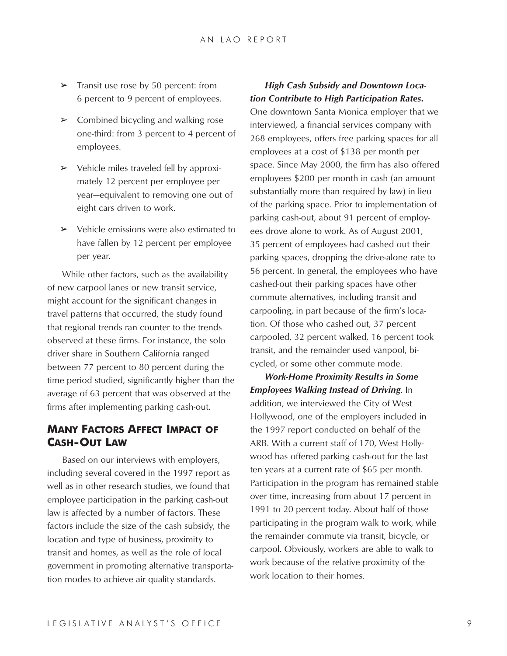- $\geq$  Transit use rose by 50 percent: from 6 percent to 9 percent of employees.
- $\triangleright$  Combined bicycling and walking rose one-third: from 3 percent to 4 percent of employees.
- $\triangleright$  Vehicle miles traveled fell by approximately 12 percent per employee per year—equivalent to removing one out of eight cars driven to work.
- $\triangleright$  Vehicle emissions were also estimated to have fallen by 12 percent per employee per year.

While other factors, such as the availability of new carpool lanes or new transit service, might account for the significant changes in travel patterns that occurred, the study found that regional trends ran counter to the trends observed at these firms. For instance, the solo driver share in Southern California ranged between 77 percent to 80 percent during the time period studied, significantly higher than the average of 63 percent that was observed at the firms after implementing parking cash-out.

### **MANY FACTORS AFFECT IMPACT OF CASH-OUT LAW**

Based on our interviews with employers, including several covered in the 1997 report as well as in other research studies, we found that employee participation in the parking cash-out law is affected by a number of factors. These factors include the size of the cash subsidy, the location and type of business, proximity to transit and homes, as well as the role of local government in promoting alternative transportation modes to achieve air quality standards.

#### *High Cash Subsidy and Downtown Location Contribute to High Participation Rates***.**

One downtown Santa Monica employer that we interviewed, a financial services company with 268 employees, offers free parking spaces for all employees at a cost of \$138 per month per space. Since May 2000, the firm has also offered employees \$200 per month in cash (an amount substantially more than required by law) in lieu of the parking space. Prior to implementation of parking cash-out, about 91 percent of employees drove alone to work. As of August 2001, 35 percent of employees had cashed out their parking spaces, dropping the drive-alone rate to 56 percent. In general, the employees who have cashed-out their parking spaces have other commute alternatives, including transit and carpooling, in part because of the firm's location. Of those who cashed out, 37 percent carpooled, 32 percent walked, 16 percent took transit, and the remainder used vanpool, bicycled, or some other commute mode.

*Work-Home Proximity Results in Some Employees Walking Instead of Driving*. In addition, we interviewed the City of West Hollywood, one of the employers included in the 1997 report conducted on behalf of the ARB. With a current staff of 170, West Hollywood has offered parking cash-out for the last ten years at a current rate of \$65 per month. Participation in the program has remained stable over time, increasing from about 17 percent in 1991 to 20 percent today. About half of those participating in the program walk to work, while the remainder commute via transit, bicycle, or carpool. Obviously, workers are able to walk to work because of the relative proximity of the work location to their homes.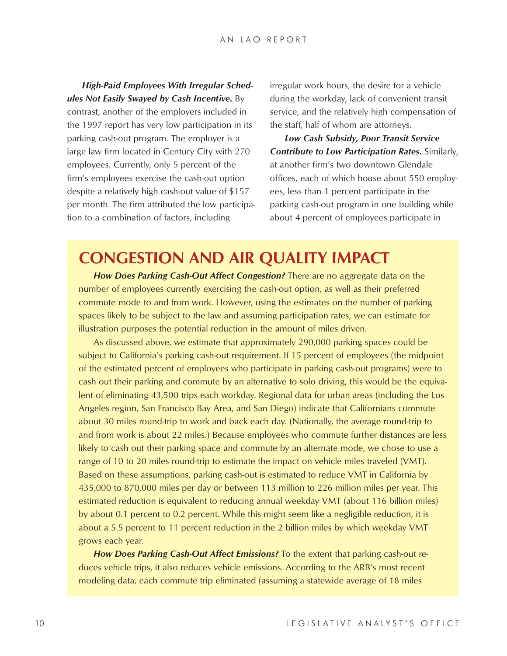*High-Paid Employees With Irregular Schedules Not Easily Swayed by Cash Incentive***.** By contrast, another of the employers included in the 1997 report has very low participation in its parking cash-out program. The employer is a large law firm located in Century City with 270 employees. Currently, only 5 percent of the firm's employees exercise the cash-out option despite a relatively high cash-out value of \$157 per month. The firm attributed the low participation to a combination of factors, including

irregular work hours, the desire for a vehicle during the workday, lack of convenient transit service, and the relatively high compensation of the staff, half of whom are attorneys.

*Low Cash Subsidy, Poor Transit Service Contribute to Low Participation Rates***.** Similarly, at another firm's two downtown Glendale offices, each of which house about 550 employees, less than 1 percent participate in the parking cash-out program in one building while about 4 percent of employees participate in

# **CONGESTION AND AIR QUALITY IMPACT**

*How Does Parking Cash-Out Affect Congestion?* There are no aggregate data on the number of employees currently exercising the cash-out option, as well as their preferred commute mode to and from work. However, using the estimates on the number of parking spaces likely to be subject to the law and assuming participation rates, we can estimate for illustration purposes the potential reduction in the amount of miles driven.

As discussed above, we estimate that approximately 290,000 parking spaces could be subject to California's parking cash-out requirement. If 15 percent of employees (the midpoint of the estimated percent of employees who participate in parking cash-out programs) were to cash out their parking and commute by an alternative to solo driving, this would be the equivalent of eliminating 43,500 trips each workday. Regional data for urban areas (including the Los Angeles region, San Francisco Bay Area, and San Diego) indicate that Californians commute about 30 miles round-trip to work and back each day. (Nationally, the average round-trip to and from work is about 22 miles.) Because employees who commute further distances are less likely to cash out their parking space and commute by an alternate mode, we chose to use a range of 10 to 20 miles round-trip to estimate the impact on vehicle miles traveled (VMT). Based on these assumptions, parking cash-out is estimated to reduce VMT in California by 435,000 to 870,000 miles per day or between 113 million to 226 million miles per year. This estimated reduction is equivalent to reducing annual weekday VMT (about 116 billion miles) by about 0.1 percent to 0.2 percent. While this might seem like a negligible reduction, it is about a 5.5 percent to 11 percent reduction in the 2 billion miles by which weekday VMT grows each year.

*How Does Parking Cash-Out Affect Emissions?* To the extent that parking cash-out reduces vehicle trips, it also reduces vehicle emissions. According to the ARB's most recent modeling data, each commute trip eliminated (assuming a statewide average of 18 miles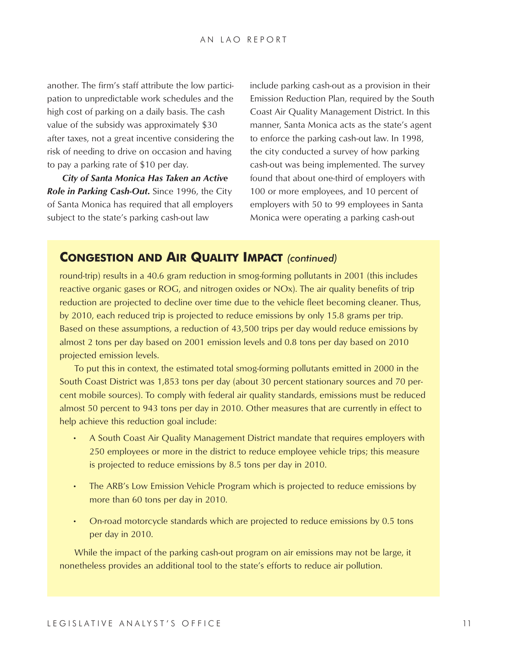another. The firm's staff attribute the low participation to unpredictable work schedules and the high cost of parking on a daily basis. The cash value of the subsidy was approximately \$30 after taxes, not a great incentive considering the risk of needing to drive on occasion and having to pay a parking rate of \$10 per day.

*City of Santa Monica Has Taken an Active Role in Parking Cash-Out***.** Since 1996, the City of Santa Monica has required that all employers subject to the state's parking cash-out law

include parking cash-out as a provision in their Emission Reduction Plan, required by the South Coast Air Quality Management District. In this manner, Santa Monica acts as the state's agent to enforce the parking cash-out law. In 1998, the city conducted a survey of how parking cash-out was being implemented. The survey found that about one-third of employers with 100 or more employees, and 10 percent of employers with 50 to 99 employees in Santa Monica were operating a parking cash-out

### **CONGESTION AND AIR QUALITY IMPACT** *(continued)*

round-trip) results in a 40.6 gram reduction in smog-forming pollutants in 2001 (this includes reactive organic gases or ROG, and nitrogen oxides or NOx). The air quality benefits of trip reduction are projected to decline over time due to the vehicle fleet becoming cleaner. Thus, by 2010, each reduced trip is projected to reduce emissions by only 15.8 grams per trip. Based on these assumptions, a reduction of 43,500 trips per day would reduce emissions by almost 2 tons per day based on 2001 emission levels and 0.8 tons per day based on 2010 projected emission levels.

To put this in context, the estimated total smog-forming pollutants emitted in 2000 in the South Coast District was 1,853 tons per day (about 30 percent stationary sources and 70 percent mobile sources). To comply with federal air quality standards, emissions must be reduced almost 50 percent to 943 tons per day in 2010. Other measures that are currently in effect to help achieve this reduction goal include:

- A South Coast Air Quality Management District mandate that requires employers with 250 employees or more in the district to reduce employee vehicle trips; this measure is projected to reduce emissions by 8.5 tons per day in 2010.
- The ARB's Low Emission Vehicle Program which is projected to reduce emissions by more than 60 tons per day in 2010.
- On-road motorcycle standards which are projected to reduce emissions by 0.5 tons per day in 2010.

While the impact of the parking cash-out program on air emissions may not be large, it nonetheless provides an additional tool to the state's efforts to reduce air pollution.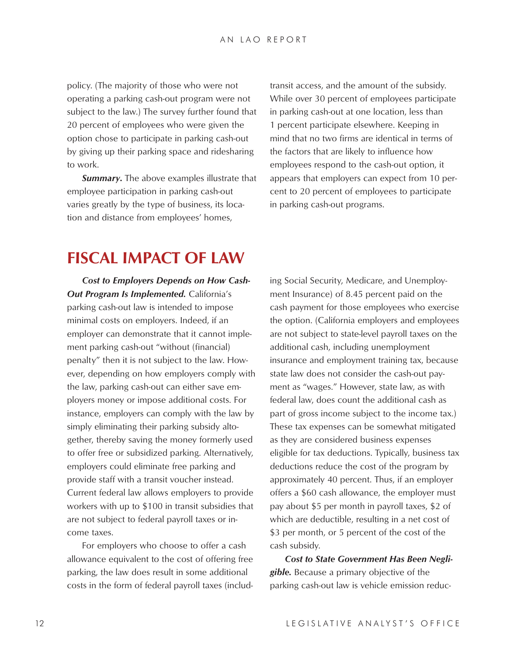policy. (The majority of those who were not operating a parking cash-out program were not subject to the law.) The survey further found that 20 percent of employees who were given the option chose to participate in parking cash-out by giving up their parking space and ridesharing to work.

*Summary***.** The above examples illustrate that employee participation in parking cash-out varies greatly by the type of business, its location and distance from employees' homes,

transit access, and the amount of the subsidy. While over 30 percent of employees participate in parking cash-out at one location, less than 1 percent participate elsewhere. Keeping in mind that no two firms are identical in terms of the factors that are likely to influence how employees respond to the cash-out option, it appears that employers can expect from 10 percent to 20 percent of employees to participate in parking cash-out programs.

### **FISCAL IMPACT OF LAW**

*Cost to Employers Depends on How Cash-Out Program Is Implemented.* California's parking cash-out law is intended to impose minimal costs on employers. Indeed, if an employer can demonstrate that it cannot implement parking cash-out "without (financial) penalty" then it is not subject to the law. However, depending on how employers comply with the law, parking cash-out can either save employers money or impose additional costs. For instance, employers can comply with the law by simply eliminating their parking subsidy altogether, thereby saving the money formerly used to offer free or subsidized parking. Alternatively, employers could eliminate free parking and provide staff with a transit voucher instead. Current federal law allows employers to provide workers with up to \$100 in transit subsidies that are not subject to federal payroll taxes or income taxes.

For employers who choose to offer a cash allowance equivalent to the cost of offering free parking, the law does result in some additional costs in the form of federal payroll taxes (including Social Security, Medicare, and Unemployment Insurance) of 8.45 percent paid on the cash payment for those employees who exercise the option. (California employers and employees are not subject to state-level payroll taxes on the additional cash, including unemployment insurance and employment training tax, because state law does not consider the cash-out payment as "wages." However, state law, as with federal law, does count the additional cash as part of gross income subject to the income tax.) These tax expenses can be somewhat mitigated as they are considered business expenses eligible for tax deductions. Typically, business tax deductions reduce the cost of the program by approximately 40 percent. Thus, if an employer offers a \$60 cash allowance, the employer must pay about \$5 per month in payroll taxes, \$2 of which are deductible, resulting in a net cost of \$3 per month, or 5 percent of the cost of the cash subsidy.

*Cost to State Government Has Been Negligible.* Because a primary objective of the parking cash-out law is vehicle emission reduc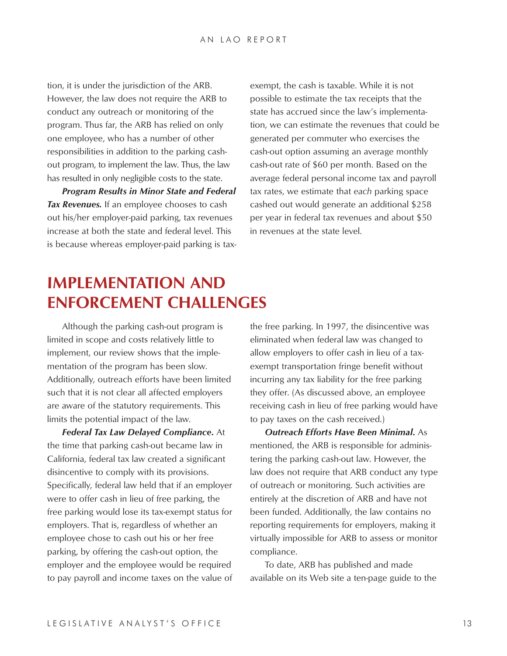tion, it is under the jurisdiction of the ARB. However, the law does not require the ARB to conduct any outreach or monitoring of the program. Thus far, the ARB has relied on only one employee, who has a number of other responsibilities in addition to the parking cashout program, to implement the law. Thus, the law has resulted in only negligible costs to the state.

*Program Results in Minor State and Federal Tax Revenues.* If an employee chooses to cash out his/her employer-paid parking, tax revenues increase at both the state and federal level. This is because whereas employer-paid parking is taxexempt, the cash is taxable. While it is not possible to estimate the tax receipts that the state has accrued since the law's implementation, we can estimate the revenues that could be generated per commuter who exercises the cash-out option assuming an average monthly cash-out rate of \$60 per month. Based on the average federal personal income tax and payroll tax rates, we estimate that *each* parking space cashed out would generate an additional \$258 per year in federal tax revenues and about \$50 in revenues at the state level.

# **IMPLEMENTATION AND ENFORCEMENT CHALLENGES**

Although the parking cash-out program is limited in scope and costs relatively little to implement, our review shows that the implementation of the program has been slow. Additionally, outreach efforts have been limited such that it is not clear all affected employers are aware of the statutory requirements. This limits the potential impact of the law.

*Federal Tax Law Delayed Compliance***.** At the time that parking cash-out became law in California, federal tax law created a significant disincentive to comply with its provisions. Specifically, federal law held that if an employer were to offer cash in lieu of free parking, the free parking would lose its tax-exempt status for employers. That is, regardless of whether an employee chose to cash out his or her free parking, by offering the cash-out option, the employer and the employee would be required to pay payroll and income taxes on the value of the free parking. In 1997, the disincentive was eliminated when federal law was changed to allow employers to offer cash in lieu of a taxexempt transportation fringe benefit without incurring any tax liability for the free parking they offer. (As discussed above, an employee receiving cash in lieu of free parking would have to pay taxes on the cash received.)

*Outreach Efforts Have Been Minimal***.** As mentioned, the ARB is responsible for administering the parking cash-out law. However, the law does not require that ARB conduct any type of outreach or monitoring. Such activities are entirely at the discretion of ARB and have not been funded. Additionally, the law contains no reporting requirements for employers, making it virtually impossible for ARB to assess or monitor compliance.

To date, ARB has published and made available on its Web site a ten-page guide to the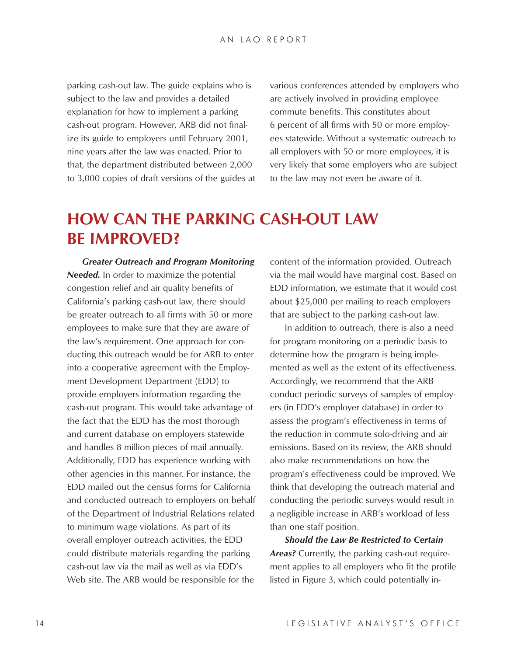parking cash-out law. The guide explains who is subject to the law and provides a detailed explanation for how to implement a parking cash-out program. However, ARB did not finalize its guide to employers until February 2001, nine years after the law was enacted. Prior to that, the department distributed between 2,000 to 3,000 copies of draft versions of the guides at various conferences attended by employers who are actively involved in providing employee commute benefits. This constitutes about 6 percent of all firms with 50 or more employees statewide. Without a systematic outreach to all employers with 50 or more employees, it is very likely that some employers who are subject to the law may not even be aware of it.

## **HOW CAN THE PARKING CASH-OUT LAW BE IMPROVED?**

*Greater Outreach and Program Monitoring Needed.* In order to maximize the potential congestion relief and air quality benefits of California's parking cash-out law, there should be greater outreach to all firms with 50 or more employees to make sure that they are aware of the law's requirement. One approach for conducting this outreach would be for ARB to enter into a cooperative agreement with the Employment Development Department (EDD) to provide employers information regarding the cash-out program. This would take advantage of the fact that the EDD has the most thorough and current database on employers statewide and handles 8 million pieces of mail annually. Additionally, EDD has experience working with other agencies in this manner. For instance, the EDD mailed out the census forms for California and conducted outreach to employers on behalf of the Department of Industrial Relations related to minimum wage violations. As part of its overall employer outreach activities, the EDD could distribute materials regarding the parking cash-out law via the mail as well as via EDD's Web site. The ARB would be responsible for the

content of the information provided. Outreach via the mail would have marginal cost. Based on EDD information, we estimate that it would cost about \$25,000 per mailing to reach employers that are subject to the parking cash-out law.

In addition to outreach, there is also a need for program monitoring on a periodic basis to determine how the program is being implemented as well as the extent of its effectiveness. Accordingly, we recommend that the ARB conduct periodic surveys of samples of employers (in EDD's employer database) in order to assess the program's effectiveness in terms of the reduction in commute solo-driving and air emissions. Based on its review, the ARB should also make recommendations on how the program's effectiveness could be improved. We think that developing the outreach material and conducting the periodic surveys would result in a negligible increase in ARB's workload of less than one staff position.

*Should the Law Be Restricted to Certain Areas?* Currently, the parking cash-out requirement applies to all employers who fit the profile listed in Figure 3, which could potentially in-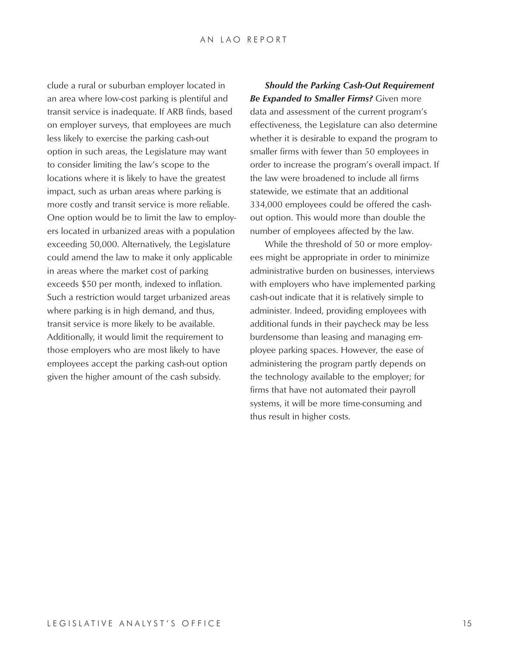clude a rural or suburban employer located in an area where low-cost parking is plentiful and transit service is inadequate. If ARB finds, based on employer surveys, that employees are much less likely to exercise the parking cash-out option in such areas, the Legislature may want to consider limiting the law's scope to the locations where it is likely to have the greatest impact, such as urban areas where parking is more costly and transit service is more reliable. One option would be to limit the law to employers located in urbanized areas with a population exceeding 50,000. Alternatively, the Legislature could amend the law to make it only applicable in areas where the market cost of parking exceeds \$50 per month, indexed to inflation. Such a restriction would target urbanized areas where parking is in high demand, and thus, transit service is more likely to be available. Additionally, it would limit the requirement to those employers who are most likely to have employees accept the parking cash-out option given the higher amount of the cash subsidy.

*Should the Parking Cash-Out Requirement Be Expanded to Smaller Firms?* Given more data and assessment of the current program's effectiveness, the Legislature can also determine whether it is desirable to expand the program to smaller firms with fewer than 50 employees in order to increase the program's overall impact. If the law were broadened to include all firms statewide, we estimate that an additional 334,000 employees could be offered the cashout option. This would more than double the number of employees affected by the law.

While the threshold of 50 or more employees might be appropriate in order to minimize administrative burden on businesses, interviews with employers who have implemented parking cash-out indicate that it is relatively simple to administer. Indeed, providing employees with additional funds in their paycheck may be less burdensome than leasing and managing employee parking spaces. However, the ease of administering the program partly depends on the technology available to the employer; for firms that have not automated their payroll systems, it will be more time-consuming and thus result in higher costs.